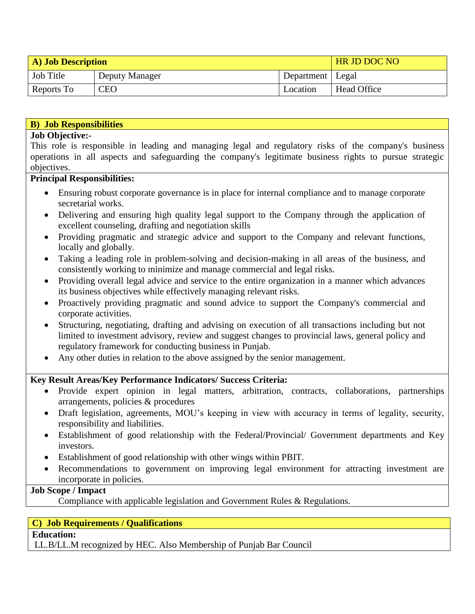| <b>A)</b> Job Description |                |                    | HR JD DOC NO |
|---------------------------|----------------|--------------------|--------------|
| Job Title                 | Deputy Manager | Department   Legal |              |
| Reports To                | <b>CEO</b>     | Location           | Head Office  |

#### **B) Job Responsibilities**

#### **Job Objective:-**

This role is responsible in leading and managing legal and regulatory risks of the company's business operations in all aspects and safeguarding the company's legitimate business rights to pursue strategic objectives.

#### **Principal Responsibilities:**

- Ensuring robust corporate governance is in place for internal compliance and to manage corporate secretarial works.
- Delivering and ensuring high quality legal support to the Company through the application of excellent counseling, drafting and negotiation skills
- Providing pragmatic and strategic advice and support to the Company and relevant functions, locally and globally.
- Taking a leading role in problem-solving and decision-making in all areas of the business, and consistently working to minimize and manage commercial and legal risks.
- Providing overall legal advice and service to the entire organization in a manner which advances its business objectives while effectively managing relevant risks.
- Proactively providing pragmatic and sound advice to support the Company's commercial and corporate activities.
- Structuring, negotiating, drafting and advising on execution of all transactions including but not limited to investment advisory, review and suggest changes to provincial laws, general policy and regulatory framework for conducting business in Punjab.
- Any other duties in relation to the above assigned by the senior management.

### **Key Result Areas/Key Performance Indicators/ Success Criteria:**

- Provide expert opinion in legal matters, arbitration, contracts, collaborations, partnerships arrangements, policies & procedures
- Draft legislation, agreements, MOU's keeping in view with accuracy in terms of legality, security, responsibility and liabilities.
- Establishment of good relationship with the Federal/Provincial/ Government departments and Key investors.
- Establishment of good relationship with other wings within PBIT.
- Recommendations to government on improving legal environment for attracting investment are incorporate in policies.

# **Job Scope / Impact**

Compliance with applicable legislation and Government Rules & Regulations.

### **C) Job Requirements / Qualifications**

**Education:**

LL.B/LL.M recognized by HEC. Also Membership of Punjab Bar Council